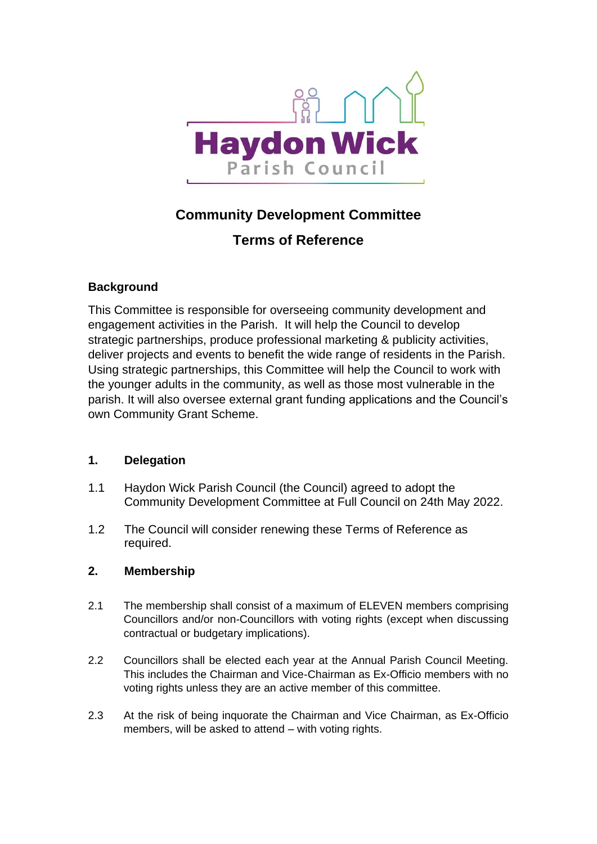

# **Community Development Committee**

# **Terms of Reference**

## **Background**

This Committee is responsible for overseeing community development and engagement activities in the Parish. It will help the Council to develop strategic partnerships, produce professional marketing & publicity activities, deliver projects and events to benefit the wide range of residents in the Parish. Using strategic partnerships, this Committee will help the Council to work with the younger adults in the community, as well as those most vulnerable in the parish. It will also oversee external grant funding applications and the Council's own Community Grant Scheme.

## **1. Delegation**

- 1.1 Haydon Wick Parish Council (the Council) agreed to adopt the Community Development Committee at Full Council on 24th May 2022.
- 1.2 The Council will consider renewing these Terms of Reference as required.

## **2. Membership**

- 2.1 The membership shall consist of a maximum of ELEVEN members comprising Councillors and/or non-Councillors with voting rights (except when discussing contractual or budgetary implications).
- 2.2 Councillors shall be elected each year at the Annual Parish Council Meeting. This includes the Chairman and Vice-Chairman as Ex-Officio members with no voting rights unless they are an active member of this committee.
- 2.3 At the risk of being inquorate the Chairman and Vice Chairman, as Ex-Officio members, will be asked to attend – with voting rights.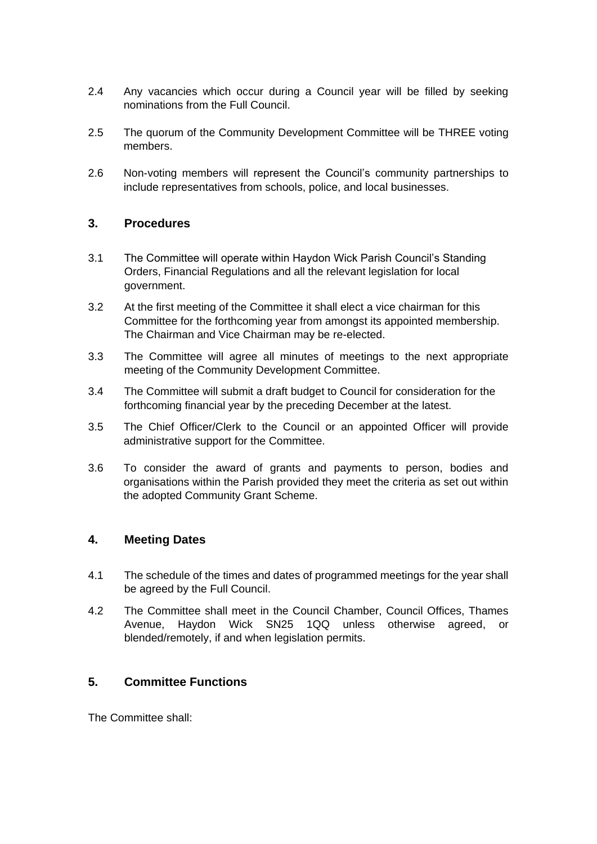- 2.4 Any vacancies which occur during a Council year will be filled by seeking nominations from the Full Council.
- 2.5 The quorum of the Community Development Committee will be THREE voting members.
- 2.6 Non-voting members will represent the Council's community partnerships to include representatives from schools, police, and local businesses.

#### **3. Procedures**

- 3.1 The Committee will operate within Haydon Wick Parish Council's Standing Orders, Financial Regulations and all the relevant legislation for local government.
- 3.2 At the first meeting of the Committee it shall elect a vice chairman for this Committee for the forthcoming year from amongst its appointed membership. The Chairman and Vice Chairman may be re-elected.
- 3.3 The Committee will agree all minutes of meetings to the next appropriate meeting of the Community Development Committee.
- 3.4 The Committee will submit a draft budget to Council for consideration for the forthcoming financial year by the preceding December at the latest.
- 3.5 The Chief Officer/Clerk to the Council or an appointed Officer will provide administrative support for the Committee.
- 3.6 To consider the award of grants and payments to person, bodies and organisations within the Parish provided they meet the criteria as set out within the adopted Community Grant Scheme.

#### **4. Meeting Dates**

- 4.1 The schedule of the times and dates of programmed meetings for the year shall be agreed by the Full Council.
- 4.2 The Committee shall meet in the Council Chamber, Council Offices, Thames Avenue, Haydon Wick SN25 1QQ unless otherwise agreed, or blended/remotely, if and when legislation permits.

#### **5. Committee Functions**

The Committee shall: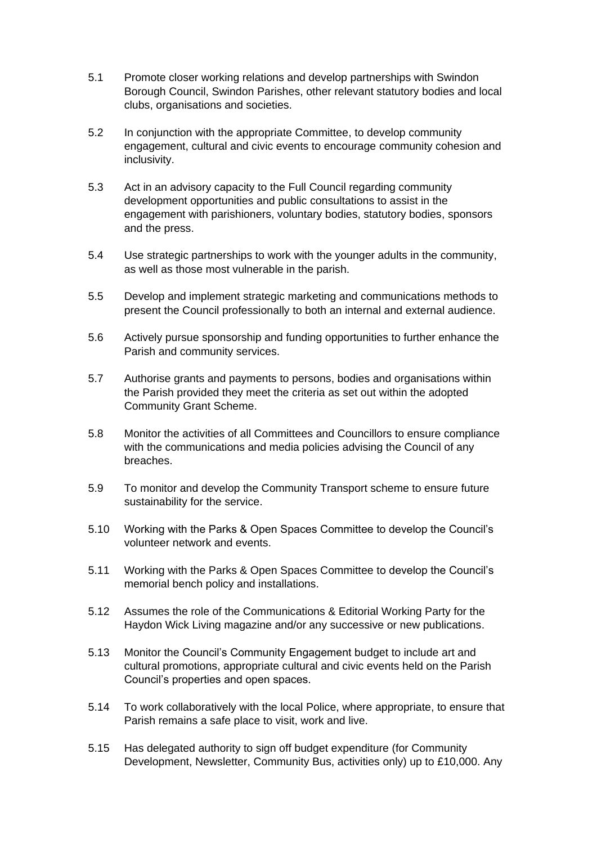- 5.1 Promote closer working relations and develop partnerships with Swindon Borough Council, Swindon Parishes, other relevant statutory bodies and local clubs, organisations and societies.
- 5.2 In conjunction with the appropriate Committee, to develop community engagement, cultural and civic events to encourage community cohesion and inclusivity.
- 5.3 Act in an advisory capacity to the Full Council regarding community development opportunities and public consultations to assist in the engagement with parishioners, voluntary bodies, statutory bodies, sponsors and the press.
- 5.4 Use strategic partnerships to work with the younger adults in the community, as well as those most vulnerable in the parish.
- 5.5 Develop and implement strategic marketing and communications methods to present the Council professionally to both an internal and external audience.
- 5.6 Actively pursue sponsorship and funding opportunities to further enhance the Parish and community services.
- 5.7 Authorise grants and payments to persons, bodies and organisations within the Parish provided they meet the criteria as set out within the adopted Community Grant Scheme.
- 5.8 Monitor the activities of all Committees and Councillors to ensure compliance with the communications and media policies advising the Council of any breaches.
- 5.9 To monitor and develop the Community Transport scheme to ensure future sustainability for the service.
- 5.10 Working with the Parks & Open Spaces Committee to develop the Council's volunteer network and events.
- 5.11 Working with the Parks & Open Spaces Committee to develop the Council's memorial bench policy and installations.
- 5.12 Assumes the role of the Communications & Editorial Working Party for the Haydon Wick Living magazine and/or any successive or new publications.
- 5.13 Monitor the Council's Community Engagement budget to include art and cultural promotions, appropriate cultural and civic events held on the Parish Council's properties and open spaces.
- 5.14 To work collaboratively with the local Police, where appropriate, to ensure that Parish remains a safe place to visit, work and live.
- 5.15 Has delegated authority to sign off budget expenditure (for Community Development, Newsletter, Community Bus, activities only) up to £10,000. Any